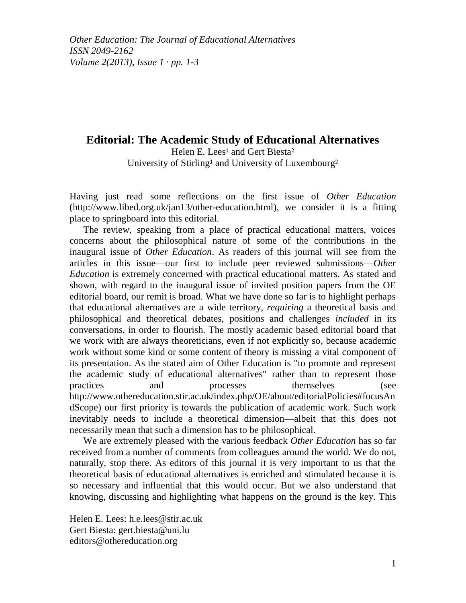*Other Education: The Journal of Educational Alternatives ISSN 2049-2162 Volume 2(2013), Issue 1 · pp. 1-3*

## **Editorial: The Academic Study of Educational Alternatives** Helen E. Lees<sup>1</sup> and Gert Biesta<sup>2</sup> University of Stirling<sup>1</sup> and University of Luxembourg<sup>2</sup>

Having just read some reflections on the first issue of *Other Education* (http://www.libed.org.uk/jan13/other-education.html), we consider it is a fitting place to springboard into this editorial.

The review, speaking from a place of practical educational matters, voices concerns about the philosophical nature of some of the contributions in the inaugural issue of *Other Education*. As readers of this journal will see from the articles in this issue—our first to include peer reviewed submissions—*Other Education* is extremely concerned with practical educational matters. As stated and shown, with regard to the inaugural issue of invited position papers from the OE editorial board, our remit is broad. What we have done so far is to highlight perhaps that educational alternatives are a wide territory, *requiring* a theoretical basis and philosophical and theoretical debates, positions and challenges *included* in its conversations, in order to flourish. The mostly academic based editorial board that we work with are always theoreticians, even if not explicitly so, because academic work without some kind or some content of theory is missing a vital component of its presentation. As the stated aim of Other Education is "to promote and represent the academic study of educational alternatives" rather than to represent those practices and processes themselves (see [http://www.othereducation.stir.ac.uk/index.php/OE/about/editorialPolicies#focusAn](http://www.othereducation.stir.ac.uk/index.php/OE/about/editorialPolicies#focusAndScope) [dScope\)](http://www.othereducation.stir.ac.uk/index.php/OE/about/editorialPolicies#focusAndScope) our first priority is towards the publication of academic work. Such work inevitably needs to include a theoretical dimension—albeit that this does not necessarily mean that such a dimension has to be philosophical.

We are extremely pleased with the various feedback *Other Education* has so far received from a number of comments from colleagues around the world. We do not, naturally, stop there. As editors of this journal it is very important to us that the theoretical basis of educational alternatives is enriched and stimulated because it is so necessary and influential that this would occur. But we also understand that knowing, discussing and highlighting what happens on the ground is the key. This

Helen E. Lees: h.e.lees@stir.ac.uk Gert Biesta: gert.biesta@uni.lu editors@othereducation.org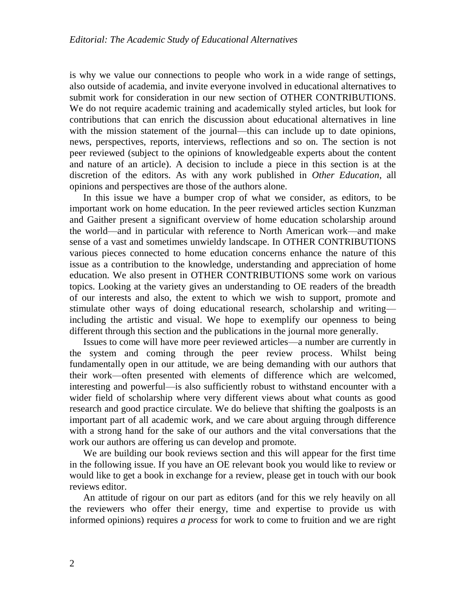is why we value our connections to people who work in a wide range of settings, also outside of academia, and invite everyone involved in educational alternatives to submit work for consideration in our new section of OTHER CONTRIBUTIONS*.*  We do not require academic training and academically styled articles, but look for contributions that can enrich the discussion about educational alternatives in line with the mission statement of the journal—this can include up to date opinions, news, perspectives, reports, interviews, reflections and so on. The section is not peer reviewed (subject to the opinions of knowledgeable experts about the content and nature of an article). A decision to include a piece in this section is at the discretion of the editors. As with any work published in *Other Education*, all opinions and perspectives are those of the authors alone.

In this issue we have a bumper crop of what we consider, as editors, to be important work on home education. In the peer reviewed articles section Kunzman and Gaither present a significant overview of home education scholarship around the world—and in particular with reference to North American work—and make sense of a vast and sometimes unwieldy landscape. In OTHER CONTRIBUTIONS various pieces connected to home education concerns enhance the nature of this issue as a contribution to the knowledge, understanding and appreciation of home education. We also present in OTHER CONTRIBUTIONS some work on various topics. Looking at the variety gives an understanding to OE readers of the breadth of our interests and also, the extent to which we wish to support, promote and stimulate other ways of doing educational research, scholarship and writing including the artistic and visual. We hope to exemplify our openness to being different through this section and the publications in the journal more generally.

Issues to come will have more peer reviewed articles—a number are currently in the system and coming through the peer review process. Whilst being fundamentally open in our attitude, we are being demanding with our authors that their work—often presented with elements of difference which are welcomed, interesting and powerful—is also sufficiently robust to withstand encounter with a wider field of scholarship where very different views about what counts as good research and good practice circulate. We do believe that shifting the goalposts is an important part of all academic work, and we care about arguing through difference with a strong hand for the sake of our authors and the vital conversations that the work our authors are offering us can develop and promote.

We are building our book reviews section and this will appear for the first time in the following issue. If you have an OE relevant book you would like to review or would like to get a book in exchange for a review, please get in touch with our book reviews editor.

An attitude of rigour on our part as editors (and for this we rely heavily on all the reviewers who offer their energy, time and expertise to provide us with informed opinions) requires *a process* for work to come to fruition and we are right